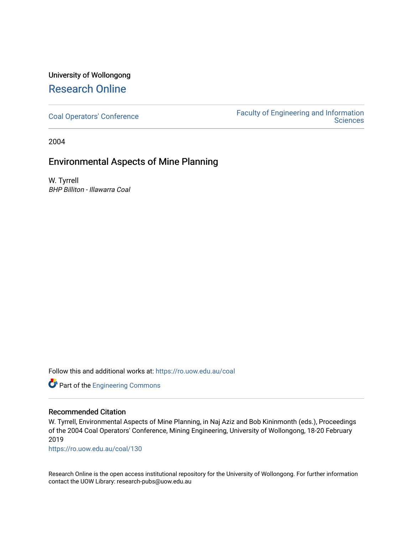# University of Wollongong [Research Online](https://ro.uow.edu.au/)

[Coal Operators' Conference](https://ro.uow.edu.au/coal) [Faculty of Engineering and Information](https://ro.uow.edu.au/eis)  **Sciences** 

2004

### Environmental Aspects of Mine Planning

W. Tyrrell BHP Billiton - Illawarra Coal

Follow this and additional works at: [https://ro.uow.edu.au/coal](https://ro.uow.edu.au/coal?utm_source=ro.uow.edu.au%2Fcoal%2F130&utm_medium=PDF&utm_campaign=PDFCoverPages) 

Part of the [Engineering Commons](http://network.bepress.com/hgg/discipline/217?utm_source=ro.uow.edu.au%2Fcoal%2F130&utm_medium=PDF&utm_campaign=PDFCoverPages)

#### Recommended Citation

W. Tyrrell, Environmental Aspects of Mine Planning, in Naj Aziz and Bob Kininmonth (eds.), Proceedings of the 2004 Coal Operators' Conference, Mining Engineering, University of Wollongong, 18-20 February 2019

[https://ro.uow.edu.au/coal/130](https://ro.uow.edu.au/coal/130?utm_source=ro.uow.edu.au%2Fcoal%2F130&utm_medium=PDF&utm_campaign=PDFCoverPages) 

Research Online is the open access institutional repository for the University of Wollongong. For further information contact the UOW Library: research-pubs@uow.edu.au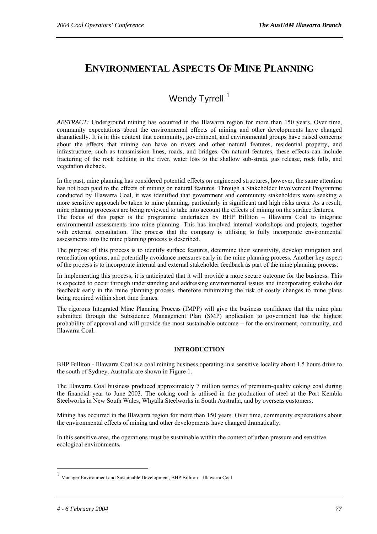# <span id="page-1-0"></span>**ENVIRONMENTAL ASPECTS OF MINE PLANNING**

## Wendy Tyrrell<sup>[1](#page-1-0)</sup>

*ABSTRACT:* Underground mining has occurred in the Illawarra region for more than 150 years. Over time, community expectations about the environmental effects of mining and other developments have changed dramatically. It is in this context that community, government, and environmental groups have raised concerns about the effects that mining can have on rivers and other natural features, residential property, and infrastructure, such as transmission lines, roads, and bridges. On natural features, these effects can include fracturing of the rock bedding in the river, water loss to the shallow sub-strata, gas release, rock falls, and vegetation dieback.

In the past, mine planning has considered potential effects on engineered structures, however, the same attention has not been paid to the effects of mining on natural features. Through a Stakeholder Involvement Programme conducted by Illawarra Coal, it was identified that government and community stakeholders were seeking a more sensitive approach be taken to mine planning, particularly in significant and high risks areas. As a result, mine planning processes are being reviewed to take into account the effects of mining on the surface features. The focus of this paper is the programme undertaken by BHP Billiton – Illawarra Coal to integrate environmental assessments into mine planning. This has involved internal workshops and projects, together with external consultation. The process that the company is utilising to fully incorporate environmental assessments into the mine planning process is described.

The purpose of this process is to identify surface features, determine their sensitivity, develop mitigation and remediation options, and potentially avoidance measures early in the mine planning process. Another key aspect of the process is to incorporate internal and external stakeholder feedback as part of the mine planning process.

In implementing this process, it is anticipated that it will provide a more secure outcome for the business. This is expected to occur through understanding and addressing environmental issues and incorporating stakeholder feedback early in the mine planning process, therefore minimizing the risk of costly changes to mine plans being required within short time frames.

The rigorous Integrated Mine Planning Process (IMPP) will give the business confidence that the mine plan submitted through the Subsidence Management Plan (SMP) application to government has the highest probability of approval and will provide the most sustainable outcome – for the environment, community, and Illawarra Coal.

#### **INTRODUCTION**

BHP Billiton - Illawarra Coal is a coal mining business operating in a sensitive locality about 1.5 hours drive to the south of Sydney, Australia are shown in Figure 1.

The Illawarra Coal business produced approximately 7 million tonnes of premium-quality coking coal during the financial year to June 2003. The coking coal is utilised in the production of steel at the Port Kembla Steelworks in New South Wales, Whyalla Steelworks in South Australia, and by overseas customers.

Mining has occurred in the Illawarra region for more than 150 years. Over time, community expectations about the environmental effects of mining and other developments have changed dramatically.

In this sensitive area, the operations must be sustainable within the context of urban pressure and sensitive ecological environments**.** 

 $\overline{a}$ 

<sup>1</sup> Manager Environment and Sustainable Development, BHP Billiton – Illawarra Coal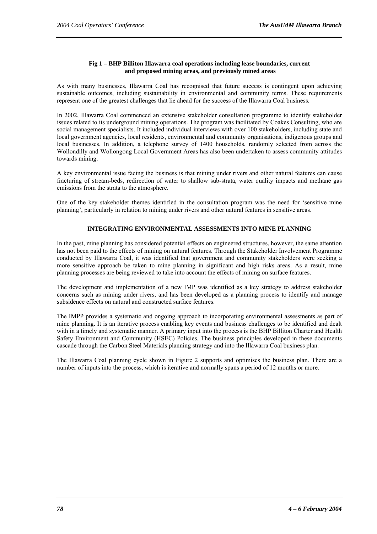#### **Fig 1 – BHP Billiton Illawarra coal operations including lease boundaries, current and proposed mining areas, and previously mined areas**

As with many businesses, Illawarra Coal has recognised that future success is contingent upon achieving sustainable outcomes, including sustainability in environmental and community terms. These requirements represent one of the greatest challenges that lie ahead for the success of the Illawarra Coal business.

In 2002, Illawarra Coal commenced an extensive stakeholder consultation programme to identify stakeholder issues related to its underground mining operations. The program was facilitated by Coakes Consulting, who are social management specialists. It included individual interviews with over 100 stakeholders, including state and local government agencies, local residents, environmental and community organisations, indigenous groups and local businesses. In addition, a telephone survey of 1400 households, randomly selected from across the Wollondilly and Wollongong Local Government Areas has also been undertaken to assess community attitudes towards mining.

A key environmental issue facing the business is that mining under rivers and other natural features can cause fracturing of stream-beds, redirection of water to shallow sub-strata, water quality impacts and methane gas emissions from the strata to the atmosphere.

One of the key stakeholder themes identified in the consultation program was the need for 'sensitive mine planning', particularly in relation to mining under rivers and other natural features in sensitive areas.

#### **INTEGRATING ENVIRONMENTAL ASSESSMENTS INTO MINE PLANNING**

In the past, mine planning has considered potential effects on engineered structures, however, the same attention has not been paid to the effects of mining on natural features. Through the Stakeholder Involvement Programme conducted by Illawarra Coal, it was identified that government and community stakeholders were seeking a more sensitive approach be taken to mine planning in significant and high risks areas. As a result, mine planning processes are being reviewed to take into account the effects of mining on surface features.

The development and implementation of a new IMP was identified as a key strategy to address stakeholder concerns such as mining under rivers, and has been developed as a planning process to identify and manage subsidence effects on natural and constructed surface features.

The IMPP provides a systematic and ongoing approach to incorporating environmental assessments as part of mine planning. It is an iterative process enabling key events and business challenges to be identified and dealt with in a timely and systematic manner. A primary input into the process is the BHP Billiton Charter and Health Safety Environment and Community (HSEC) Policies. The business principles developed in these documents cascade through the Carbon Steel Materials planning strategy and into the Illawarra Coal business plan.

The Illawarra Coal planning cycle shown in Figure 2 supports and optimises the business plan. There are a number of inputs into the process, which is iterative and normally spans a period of 12 months or more.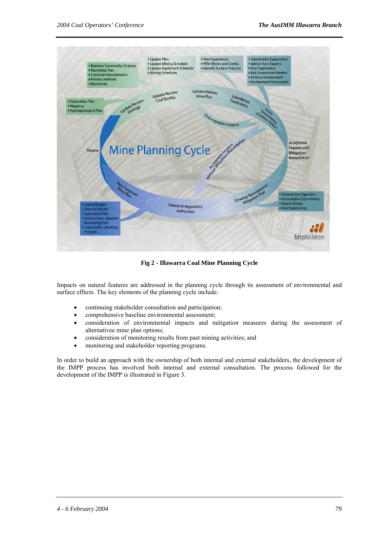

**Fig 2 - Illawarra Coal Mine Planning Cycle** 

Impacts on natural features are addressed in the planning cycle through its assessment of environmental and surface effects. The key elements of the planning cycle include:

- continuing stakeholder consultation and participation;
- comprehensive baseline environmental assessment;
- consideration of environmental impacts and mitigation measures during the assessment of alternativee mine plan options;
- consideration of monitoring results from past mining activities; and
- monitoring and stakeholder reporting programs.

In order to build an approach with the ownership of both internal and external stakeholders, the development of the IMPP process has involved both internal and external consultation. The process followed for the development of the IMPP is illustrated in Figure 3.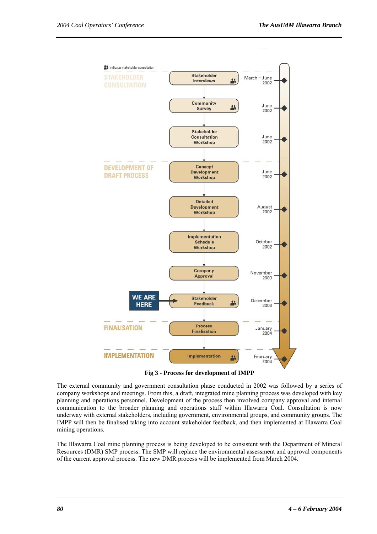

**Fig 3 - Process for development of IMPP** 

The external community and government consultation phase conducted in 2002 was followed by a series of company workshops and meetings. From this, a draft, integrated mine planning process was developed with key planning and operations personnel. Development of the process then involved company approval and internal communication to the broader planning and operations staff within Illawarra Coal. Consultation is now underway with external stakeholders, including government, environmental groups, and community groups. The IMPP will then be finalised taking into account stakeholder feedback, and then implemented at Illawarra Coal mining operations.

The Illawarra Coal mine planning process is being developed to be consistent with the Department of Mineral Resources (DMR) SMP process. The SMP will replace the environmental assessment and approval components of the current approval process. The new DMR process will be implemented from March 2004.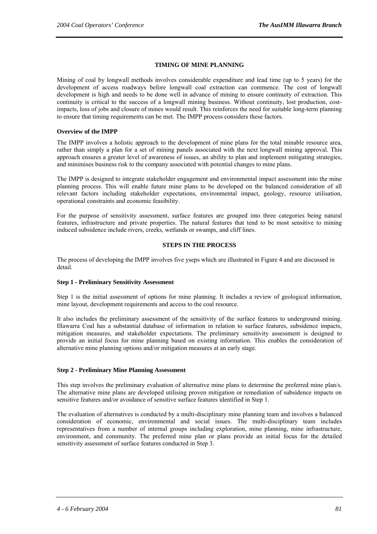#### **TIMING OF MINE PLANNING**

Mining of coal by longwall methods involves considerable expenditure and lead time (up to 5 years) for the development of access roadways before longwall coal extraction can commence. The cost of longwall development is high and needs to be done well in advance of mining to ensure continuity of extraction. This continuity is critical to the success of a longwall mining business. Without continuity, lost production, costimpacts, loss of jobs and closure of mines would result. This reinforces the need for suitable long-term planning to ensure that timing requirements can be met. The IMPP process considers these factors.

#### **Overview of the IMPP**

The IMPP involves a holistic approach to the development of mine plans for the total minable resource area, rather than simply a plan for a set of mining panels associated with the next longwall mining approval. This approach ensures a greater level of awareness of issues, an ability to plan and implement mitigating strategies, and minimises business risk to the company associated with potential changes to mine plans.

The IMPP is designed to integrate stakeholder engagement and environmental impact assessment into the mine planning process. This will enable future mine plans to be developed on the balanced consideration of all relevant factors including stakeholder expectations, environmental impact, geology, resource utilisation, operational constraints and economic feasibility.

For the purpose of sensitivity assessment, surface features are grouped into three categories being natural features, infrastructure and private properties. The natural features that tend to be most sensitive to mining induced subsidence include rivers, creeks, wetlands or swamps, and cliff lines.

#### **STEPS IN THE PROCESS**

The process of developing the IMPP involves five yseps which are illustrated in Figure 4 and are discussed in detail.

#### **Step 1 - Preliminary Sensitivity Assessment**

Step 1 is the initial assessment of options for mine planning. It includes a review of geological information, mine layout, development requirements and access to the coal resource.

It also includes the preliminary assessment of the sensitivity of the surface features to underground mining. Illawarra Coal has a substantial database of information in relation to surface features, subsidence impacts, mitigation measures, and stakeholder expectations. The preliminary sensitivity assessment is designed to provide an initial focus for mine planning based on existing information. This enables the consideration of alternative mine planning options and/or mitigation measures at an early stage.

#### **Step 2 - Preliminary Mine Planning Assessment**

This step involves the preliminary evaluation of alternative mine plans to determine the preferred mine plan/s. The alternative mine plans are developed utilising proven mitigation or remediation of subsidence impacts on sensitive features and/or avoidance of sensitive surface features identified in Step 1.

The evaluation of alternatives is conducted by a multi-disciplinary mine planning team and involves a balanced consideration of economic, environmental and social issues. The multi-disciplinary team includes representatives from a number of internal groups including exploration, mine planning, mine infrastructure, environment, and community. The preferred mine plan or plans provide an initial focus for the detailed sensitivity assessment of surface features conducted in Step 3.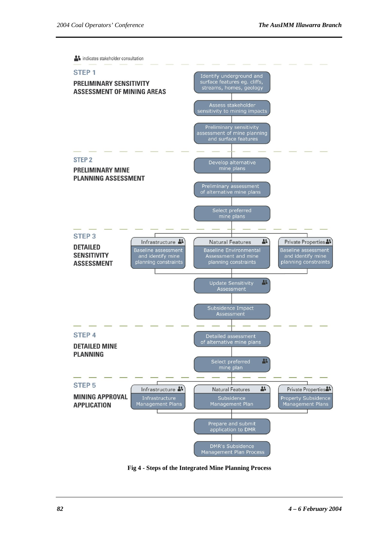

**Fig 4 - Steps of the Integrated Mine Planning Process**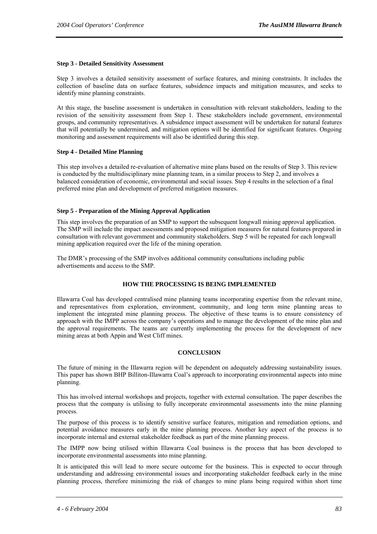#### **Step 3 - Detailed Sensitivity Assessment**

Step 3 involves a detailed sensitivity assessment of surface features, and mining constraints. It includes the collection of baseline data on surface features, subsidence impacts and mitigation measures, and seeks to identify mine planning constraints.

At this stage, the baseline assessment is undertaken in consultation with relevant stakeholders, leading to the revision of the sensitivity assessment from Step 1. These stakeholders include government, environmental groups, and community representatives. A subsidence impact assessment will be undertaken for natural features that will potentially be undermined, and mitigation options will be identified for significant features. Ongoing monitoring and assessment requirements will also be identified during this step.

#### **Step 4 - Detailed Mine Planning**

This step involves a detailed re-evaluation of alternative mine plans based on the results of Step 3. This review is conducted by the multidisciplinary mine planning team, in a similar process to Step 2, and involves a balanced consideration of economic, environmental and social issues. Step 4 results in the selection of a final preferred mine plan and development of preferred mitigation measures.

#### **Step 5 - Preparation of the Mining Approval Application**

This step involves the preparation of an SMP to support the subsequent longwall mining approval application. The SMP will include the impact assessments and proposed mitigation measures for natural features prepared in consultation with relevant government and community stakeholders. Step 5 will be repeated for each longwall mining application required over the life of the mining operation.

The DMR's processing of the SMP involves additional community consultations including public advertisements and access to the SMP.

#### **HOW THE PROCESSING IS BEING IMPLEMENTED**

Illawarra Coal has developed centralised mine planning teams incorporating expertise from the relevant mine, and representatives from exploration, environment, community, and long term mine planning areas to implement the integrated mine planning process. The objective of these teams is to ensure consistency of approach with the IMPP across the company's operations and to manage the development of the mine plan and the approval requirements. The teams are currently implementing the process for the development of new mining areas at both Appin and West Cliff mines.

#### **CONCLUSION**

The future of mining in the Illawarra region will be dependent on adequately addressing sustainability issues. This paper has shown BHP Billiton-Illawarra Coal's approach to incorporating environmental aspects into mine planning.

This has involved internal workshops and projects, together with external consultation. The paper describes the process that the company is utilising to fully incorporate environmental assessments into the mine planning process.

The purpose of this process is to identify sensitive surface features, mitigation and remediation options, and potential avoidance measures early in the mine planning process. Another key aspect of the process is to incorporate internal and external stakeholder feedback as part of the mine planning process.

The IMPP now being utilised within Illawarra Coal business is the process that has been developed to incorporate environmental assessments into mine planning.

It is anticipated this will lead to more secure outcome for the business. This is expected to occur through understanding and addressing environmental issues and incorporating stakeholder feedback early in the mine planning process, therefore minimizing the risk of changes to mine plans being required within short time